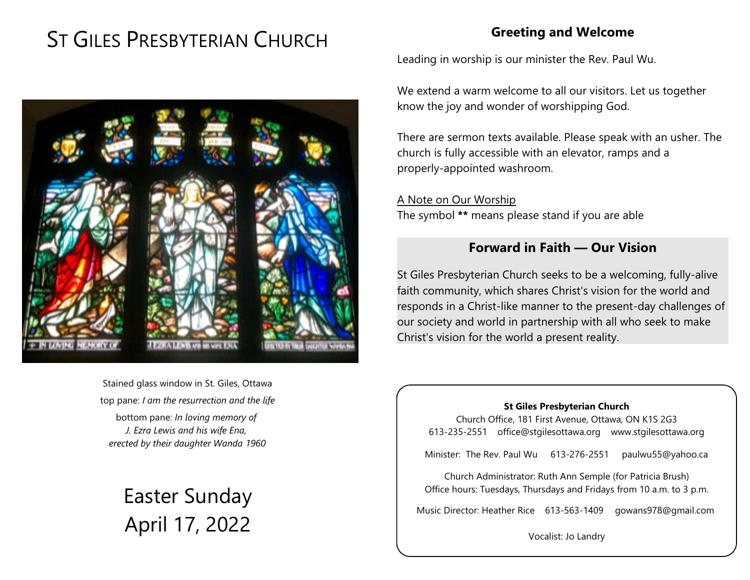# ST GILES PRESBYTERIAN CHURCH

## **Greeting and Welcome**

Leading in worship is our minister the Rev. Paul Wu.

We extend a warm welcome to all our visitors. Let us together know the joy and wonder of worshipping God.

There are sermon texts available. Please speak with an usher. The church is fully accessible with an elevator, ramps and a properly-appointed washroom.

A Note on Our Worship The symbol **\*\*** means please stand if you are able

### **Forward in Faith — Our Vision**

St Giles Presbyterian Church seeks to be a welcoming, fully-alive faith community, which shares Christ's vision for the world and responds in a Christ-like manner to the present-day challenges of our society and world in partnership with all who seek to make Christ's vision for the world a present reality.

#### **St Giles Presbyterian Church**

Church Office, 181 First Avenue, Ottawa, ON K1S 2G3 613-235-2551 office@stgilesottawa.org www.stgilesottawa.org

Minister: The Rev. Paul Wu 613-276-2551 paulwu55@yahoo.ca

Church Administrator: Ruth Ann Semple (for Patricia Brush) Office hours: Tuesdays, Thursdays and Fridays from 10 a.m. to 3 p.m.

Music Director: Heather Rice 613-563-1409 gowans978@gmail.com

Vocalist: Jo Landry



Stained glass window in St. Giles, Ottawa top pane: *I am the resurrection and the life* bottom pane: *In loving memory of J. Ezra Lewis and his wife Ena, erected by their daughter Wanda 1960*

> Easter Sunday April 17, 2022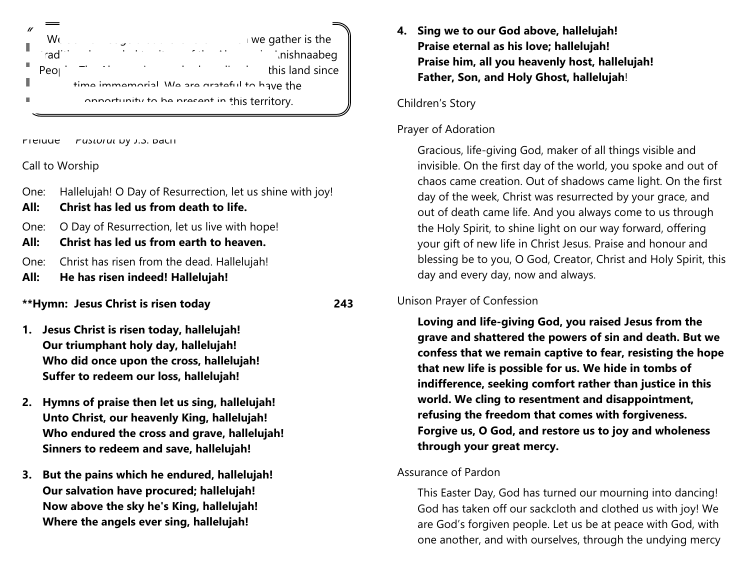|   | $\Box$ we gather is the                                                                                                                                                                                                                                                                                                                                                                                                                                                               |  |  |
|---|---------------------------------------------------------------------------------------------------------------------------------------------------------------------------------------------------------------------------------------------------------------------------------------------------------------------------------------------------------------------------------------------------------------------------------------------------------------------------------------|--|--|
|   | W<br>inishnaabeg                                                                                                                                                                                                                                                                                                                                                                                                                                                                      |  |  |
|   | $\mathcal{L}(\mathcal{L}(\mathcal{L}(\mathcal{L}(\mathcal{L}(\mathcal{L}(\mathcal{L}(\mathcal{L}(\mathcal{L}(\mathcal{L}(\mathcal{L}(\mathcal{L}(\mathcal{L}(\mathcal{L}(\mathcal{L}(\mathcal{L}(\mathcal{L}(\mathcal{L}(\mathcal{L}(\mathcal{L}(\mathcal{L}(\mathcal{L}(\mathcal{L}(\mathcal{L}(\mathcal{L}(\mathcal{L}(\mathcal{L}(\mathcal{L}(\mathcal{L}(\mathcal{L}(\mathcal{L}(\mathcal{L}(\mathcal{L}(\mathcal{L}(\mathcal{L}(\mathcal{L}(\mathcal{$<br>this land since<br>Peo |  |  |
|   | time immemorial We are arateful to have the                                                                                                                                                                                                                                                                                                                                                                                                                                           |  |  |
| Ш | annortunity to be procent in this territory.                                                                                                                                                                                                                                                                                                                                                                                                                                          |  |  |
|   |                                                                                                                                                                                                                                                                                                                                                                                                                                                                                       |  |  |

Prelude *Pastoral* by J.S. Bach

#### Call to Worship

- One: Hallelujah! O Day of Resurrection, let us shine with joy!
- **All: Christ has led us from death to life.**
- One: O Day of Resurrection, let us live with hope!
- **All: Christ has led us from earth to heaven.**
- One: Christ has risen from the dead. Hallelujah!
- **All: He has risen indeed! Hallelujah!**

#### **\*\*Hymn: Jesus Christ is risen today 243**

- **1. Jesus Christ is risen today, hallelujah! Our triumphant holy day, hallelujah! Who did once upon the cross, hallelujah! Suffer to redeem our loss, hallelujah!**
- **2. Hymns of praise then let us sing, hallelujah! Unto Christ, our heavenly King, hallelujah! Who endured the cross and grave, hallelujah! Sinners to redeem and save, hallelujah!**
- **3. But the pains which he endured, hallelujah! Our salvation have procured; hallelujah! Now above the sky he's King, hallelujah! Where the angels ever sing, hallelujah!**

**4. Sing we to our God above, hallelujah! Praise eternal as his love; hallelujah! Praise him, all you heavenly host, hallelujah! Father, Son, and Holy Ghost, hallelujah**!

#### Children's Story

#### Prayer of Adoration

Gracious, life-giving God, maker of all things visible and invisible. On the first day of the world, you spoke and out of chaos came creation. Out of shadows came light. On the first day of the week, Christ was resurrected by your grace, and out of death came life. And you always come to us through the Holy Spirit, to shine light on our way forward, offering your gift of new life in Christ Jesus. Praise and honour and blessing be to you, O God, Creator, Christ and Holy Spirit, this day and every day, now and always.

#### Unison Prayer of Confession

**Loving and life-giving God, you raised Jesus from the grave and shattered the powers of sin and death. But we confess that we remain captive to fear, resisting the hope that new life is possible for us. We hide in tombs of indifference, seeking comfort rather than justice in this world. We cling to resentment and disappointment, refusing the freedom that comes with forgiveness. Forgive us, O God, and restore us to joy and wholeness through your great mercy.**

#### Assurance of Pardon

This Easter Day, God has turned our mourning into dancing! God has taken off our sackcloth and clothed us with joy! We are God's forgiven people. Let us be at peace with God, with one another, and with ourselves, through the undying mercy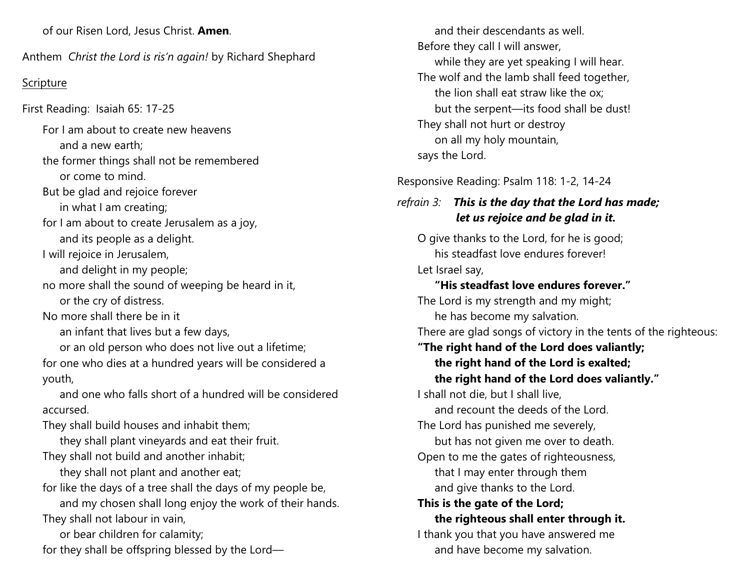of our Risen Lord, Jesus Christ. **Amen**.

Anthem *Christ the Lord is ris'n again!* by Richard Shephard

#### Scripture

First Reading: Isaiah 65: 17-25

For I am about to create new heavens and a new earth; the former things shall not be remembered or come to mind. But be glad and rejoice forever in what I am creating; for I am about to create Jerusalem as a joy, and its people as a delight. I will rejoice in Jerusalem, and delight in my people; no more shall the sound of weeping be heard in it, or the cry of distress. No more shall there be in it an infant that lives but a few days, or an old person who does not live out a lifetime; for one who dies at a hundred years will be considered a youth, and one who falls short of a hundred will be considered accursed. They shall build houses and inhabit them; they shall plant vineyards and eat their fruit. They shall not build and another inhabit; they shall not plant and another eat; for like the days of a tree shall the days of my people be, and my chosen shall long enjoy the work of their hands. They shall not labour in vain,

or bear children for calamity;

for they shall be offspring blessed by the Lord—

and their descendants as well. Before they call I will answer, while they are yet speaking I will hear. The wolf and the lamb shall feed together, the lion shall eat straw like the ox; but the serpent—its food shall be dust! They shall not hurt or destroy on all my holy mountain, says the Lord. Responsive Reading: Psalm 118: 1-2, 14-24

# *refrain 3: This is the day that the Lord has made; let us rejoice and be glad in it.*

O give thanks to the Lord, for he is good; his steadfast love endures forever! Let Israel say, **"His steadfast love endures forever."** The Lord is my strength and my might; he has become my salvation. There are glad songs of victory in the tents of the righteous: **"The right hand of the Lord does valiantly; the right hand of the Lord is exalted; the right hand of the Lord does valiantly."** I shall not die, but I shall live, and recount the deeds of the Lord. The Lord has punished me severely, but has not given me over to death. Open to me the gates of righteousness, that I may enter through them and give thanks to the Lord. **This is the gate of the Lord; the righteous shall enter through it.** I thank you that you have answered me and have become my salvation.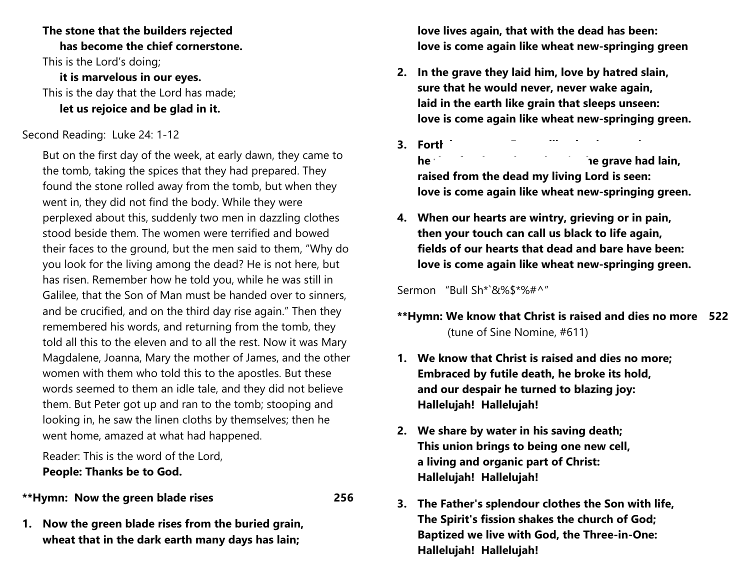#### **The stone that the builders rejected has become the chief cornerstone.** This is the Lord's doing; **it is marvelous in our eyes.** This is the day that the Lord has made; **let us rejoice and be glad in it.**

#### Second Reading: Luke 24: 1-12

But on the first day of the week, at early dawn, they came to the tomb, taking the spices that they had prepared. They found the stone rolled away from the tomb, but when they went in, they did not find the body. While they were perplexed about this, suddenly two men in dazzling clothes stood beside them. The women were terrified and bowed their faces to the ground, but the men said to them, "Why do you look for the living among the dead? He is not here, but has risen. Remember how he told you, while he was still in Galilee, that the Son of Man must be handed over to sinners, and be crucified, and on the third day rise again." Then they remembered his words, and returning from the tomb, they told all this to the eleven and to all the rest. Now it was Mary Magdalene, Joanna, Mary the mother of James, and the other women with them who told this to the apostles. But these words seemed to them an idle tale, and they did not believe them. But Peter got up and ran to the tomb; stooping and looking in, he saw the linen cloths by themselves; then he went home, amazed at what had happened.

Reader: This is the word of the Lord, **People: Thanks be to God.**

**\*\*Hymn: Now the green blade rises 256**

**1. Now the green blade rises from the buried grain, wheat that in the dark earth many days has lain;**

**love lives again, that with the dead has been: love is come again like wheat new-springing green**

- **2. In the grave they laid him, love by hatred slain, sure that he would never, never wake again, laid in the earth like grain that sleeps unseen: love is come again like wheat new-springing green.**
- **3. Forth he came at Easter, like the risen grain,**

**he** these three days in the grave had lain, **raised from the dead my living Lord is seen: love is come again like wheat new-springing green.**

**4. When our hearts are wintry, grieving or in pain, then your touch can call us black to life again, fields of our hearts that dead and bare have been: love is come again like wheat new-springing green.**

Sermon "Bull Sh\*`&%\$\*%#^"

- **\*\*Hymn: We know that Christ is raised and dies no more 522** (tune of Sine Nomine, #611)
- **1. We know that Christ is raised and dies no more; Embraced by futile death, he broke its hold, and our despair he turned to blazing joy: Hallelujah! Hallelujah!**
- **2. We share by water in his saving death; This union brings to being one new cell, a living and organic part of Christ: Hallelujah! Hallelujah!**
- **3. The Father's splendour clothes the Son with life, The Spirit's fission shakes the church of God; Baptized we live with God, the Three-in-One: Hallelujah! Hallelujah!**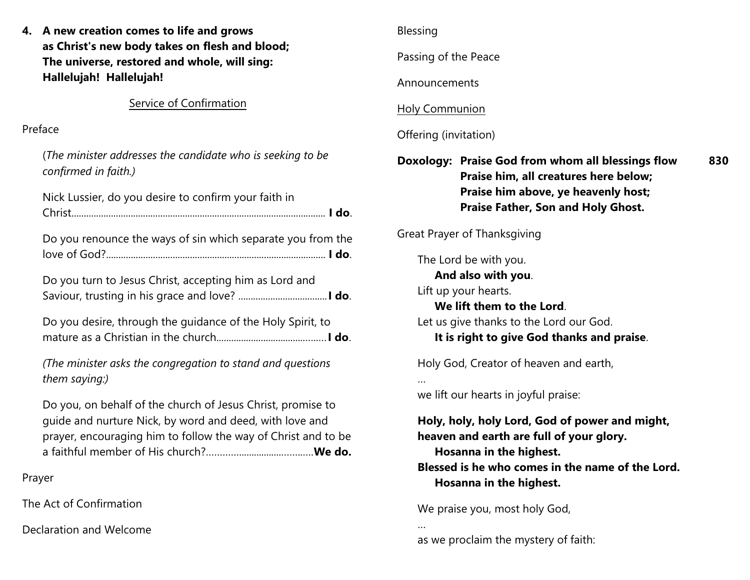|                         | 4. A new creation comes to life and grows                                                                                                                                               | <b>Blessing</b>                                                                                                                                               |  |
|-------------------------|-----------------------------------------------------------------------------------------------------------------------------------------------------------------------------------------|---------------------------------------------------------------------------------------------------------------------------------------------------------------|--|
|                         | as Christ's new body takes on flesh and blood;<br>The universe, restored and whole, will sing:<br>Hallelujah! Hallelujah!                                                               | Passing of the Peace<br>Announcements                                                                                                                         |  |
|                         |                                                                                                                                                                                         |                                                                                                                                                               |  |
| Preface                 |                                                                                                                                                                                         | Offering (invitation)                                                                                                                                         |  |
|                         | (The minister addresses the candidate who is seeking to be<br>confirmed in faith.)                                                                                                      | Doxology: Praise God from whom all blessings flow<br>830<br>Praise him, all creatures here below;                                                             |  |
|                         | Nick Lussier, do you desire to confirm your faith in                                                                                                                                    | Praise him above, ye heavenly host;<br>Praise Father, Son and Holy Ghost.                                                                                     |  |
|                         | Do you renounce the ways of sin which separate you from the                                                                                                                             | <b>Great Prayer of Thanksgiving</b><br>The Lord be with you.                                                                                                  |  |
|                         | Do you turn to Jesus Christ, accepting him as Lord and                                                                                                                                  | And also with you.<br>Lift up your hearts.<br>We lift them to the Lord.                                                                                       |  |
|                         | Do you desire, through the guidance of the Holy Spirit, to                                                                                                                              | Let us give thanks to the Lord our God.<br>It is right to give God thanks and praise.                                                                         |  |
|                         | (The minister asks the congregation to stand and questions<br>them saying:)                                                                                                             | Holy God, Creator of heaven and earth,                                                                                                                        |  |
|                         | Do you, on behalf of the church of Jesus Christ, promise to<br>guide and nurture Nick, by word and deed, with love and<br>prayer, encouraging him to follow the way of Christ and to be | we lift our hearts in joyful praise:<br>Holy, holy, holy Lord, God of power and might,<br>heaven and earth are full of your glory.<br>Hosanna in the highest. |  |
| Prayer                  |                                                                                                                                                                                         | Blessed is he who comes in the name of the Lord.<br>Hosanna in the highest.                                                                                   |  |
| The Act of Confirmation |                                                                                                                                                                                         | We praise you, most holy God,                                                                                                                                 |  |
| Declaration and Welcome |                                                                                                                                                                                         | as we proclaim the mystery of faith:                                                                                                                          |  |